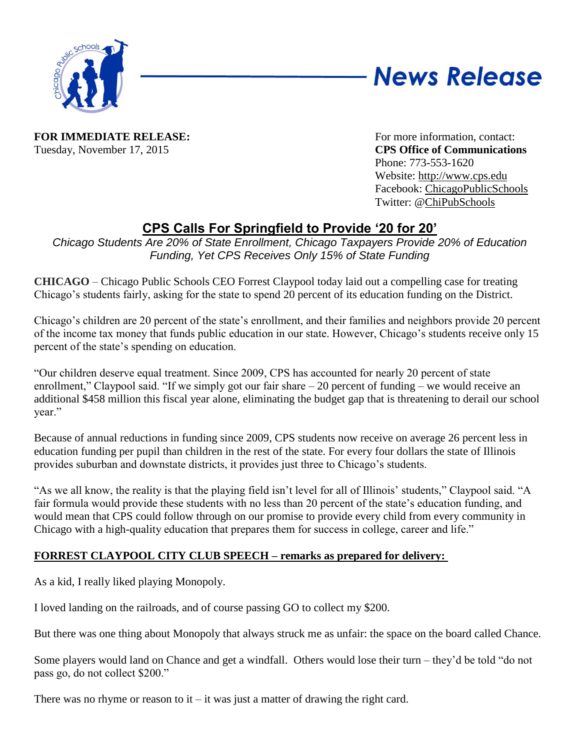

# **News Release**

**FOR IMMEDIATE RELEASE:** For more information, contact: Tuesday, November 17, 2015 **CPS Office of Communications**

Phone: 773-553-1620 Website: [http://www.cps.edu](http://www.cps.edu/) Facebook: [ChicagoPublicSchools](http://www.facebook.com/chicagopublicschools) Twitter: [@ChiPubSchools](http://www.twitter.com/chipubschools)

## **CPS Calls For Springfield to Provide '20 for 20'**

*Chicago Students Are 20% of State Enrollment, Chicago Taxpayers Provide 20% of Education Funding, Yet CPS Receives Only 15% of State Funding*

**CHICAGO** – Chicago Public Schools CEO Forrest Claypool today laid out a compelling case for treating Chicago's students fairly, asking for the state to spend 20 percent of its education funding on the District.

Chicago's children are 20 percent of the state's enrollment, and their families and neighbors provide 20 percent of the income tax money that funds public education in our state. However, Chicago's students receive only 15 percent of the state's spending on education.

―Our children deserve equal treatment. Since 2009, CPS has accounted for nearly 20 percent of state enrollment," Claypool said. "If we simply got our fair share  $-20$  percent of funding – we would receive an additional \$458 million this fiscal year alone, eliminating the budget gap that is threatening to derail our school vear."

Because of annual reductions in funding since 2009, CPS students now receive on average 26 percent less in education funding per pupil than children in the rest of the state. For every four dollars the state of Illinois provides suburban and downstate districts, it provides just three to Chicago's students.

"As we all know, the reality is that the playing field isn't level for all of Illinois' students," Claypool said. "A fair formula would provide these students with no less than 20 percent of the state's education funding, and would mean that CPS could follow through on our promise to provide every child from every community in Chicago with a high-quality education that prepares them for success in college, career and life."

### **FORREST CLAYPOOL CITY CLUB SPEECH – remarks as prepared for delivery:**

As a kid, I really liked playing Monopoly.

I loved landing on the railroads, and of course passing GO to collect my \$200.

But there was one thing about Monopoly that always struck me as unfair: the space on the board called Chance.

Some players would land on Chance and get a windfall. Others would lose their turn – they'd be told "do not pass go, do not collect \$200."

There was no rhyme or reason to it – it was just a matter of drawing the right card.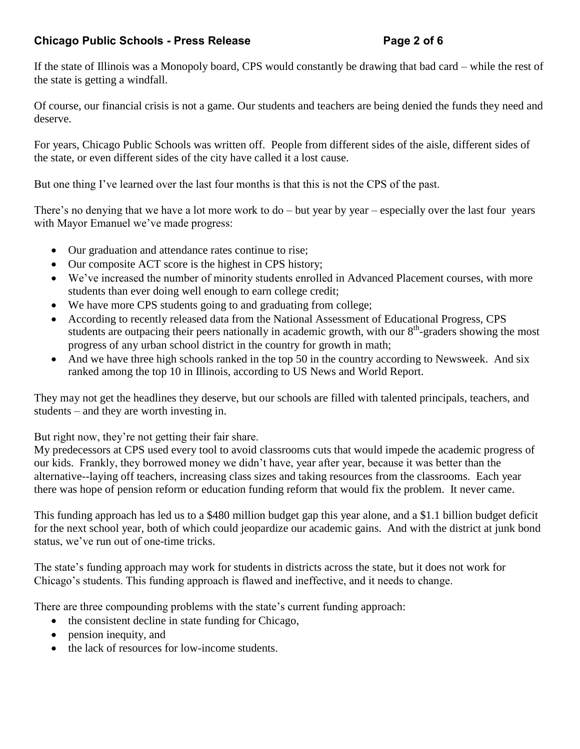If the state of Illinois was a Monopoly board, CPS would constantly be drawing that bad card – while the rest of the state is getting a windfall.

Of course, our financial crisis is not a game. Our students and teachers are being denied the funds they need and deserve.

For years, Chicago Public Schools was written off. People from different sides of the aisle, different sides of the state, or even different sides of the city have called it a lost cause.

But one thing I've learned over the last four months is that this is not the CPS of the past.

There's no denying that we have a lot more work to  $d\sigma$  – but year by year – especially over the last four years with Mayor Emanuel we've made progress:

- Our graduation and attendance rates continue to rise;
- Our composite ACT score is the highest in CPS history;
- We've increased the number of minority students enrolled in Advanced Placement courses, with more students than ever doing well enough to earn college credit;
- We have more CPS students going to and graduating from college;
- According to recently released data from the National Assessment of Educational Progress, CPS students are outpacing their peers nationally in academic growth, with our  $8<sup>th</sup>$ -graders showing the most progress of any urban school district in the country for growth in math;
- And we have three high schools ranked in the top 50 in the country according to Newsweek. And six ranked among the top 10 in Illinois, according to US News and World Report.

They may not get the headlines they deserve, but our schools are filled with talented principals, teachers, and students – and they are worth investing in.

But right now, they're not getting their fair share.

My predecessors at CPS used every tool to avoid classrooms cuts that would impede the academic progress of our kids. Frankly, they borrowed money we didn't have, year after year, because it was better than the alternative--laying off teachers, increasing class sizes and taking resources from the classrooms. Each year there was hope of pension reform or education funding reform that would fix the problem. It never came.

This funding approach has led us to a \$480 million budget gap this year alone, and a \$1.1 billion budget deficit for the next school year, both of which could jeopardize our academic gains. And with the district at junk bond status, we've run out of one-time tricks.

The state's funding approach may work for students in districts across the state, but it does not work for Chicago's students. This funding approach is flawed and ineffective, and it needs to change.

There are three compounding problems with the state's current funding approach:

- $\bullet$  the consistent decline in state funding for Chicago,
- pension inequity, and
- the lack of resources for low-income students.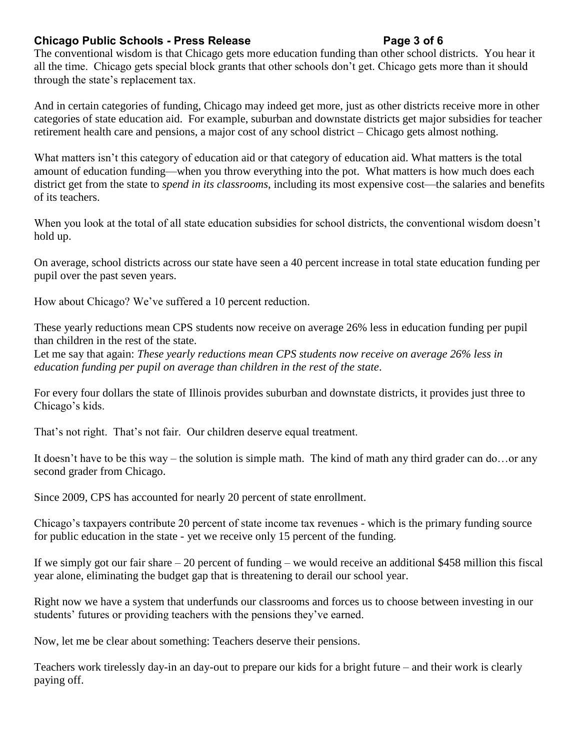### **Chicago Public Schools - Press Release Page 3 of 6**

The conventional wisdom is that Chicago gets more education funding than other school districts. You hear it all the time. Chicago gets special block grants that other schools don't get. Chicago gets more than it should through the state's replacement tax.

And in certain categories of funding, Chicago may indeed get more, just as other districts receive more in other categories of state education aid. For example, suburban and downstate districts get major subsidies for teacher retirement health care and pensions, a major cost of any school district – Chicago gets almost nothing.

What matters isn't this category of education aid or that category of education aid. What matters is the total amount of education funding—when you throw everything into the pot. What matters is how much does each district get from the state to *spend in its classrooms*, including its most expensive cost—the salaries and benefits of its teachers.

When you look at the total of all state education subsidies for school districts, the conventional wisdom doesn't hold up.

On average, school districts across our state have seen a 40 percent increase in total state education funding per pupil over the past seven years.

How about Chicago? We've suffered a 10 percent reduction.

These yearly reductions mean CPS students now receive on average 26% less in education funding per pupil than children in the rest of the state.

Let me say that again: *These yearly reductions mean CPS students now receive on average 26% less in education funding per pupil on average than children in the rest of the state*.

For every four dollars the state of Illinois provides suburban and downstate districts, it provides just three to Chicago's kids.

That's not right. That's not fair. Our children deserve equal treatment.

It doesn't have to be this way – the solution is simple math. The kind of math any third grader can do…or any second grader from Chicago.

Since 2009, CPS has accounted for nearly 20 percent of state enrollment.

Chicago's taxpayers contribute 20 percent of state income tax revenues - which is the primary funding source for public education in the state - yet we receive only 15 percent of the funding.

If we simply got our fair share  $-20$  percent of funding – we would receive an additional \$458 million this fiscal year alone, eliminating the budget gap that is threatening to derail our school year.

Right now we have a system that underfunds our classrooms and forces us to choose between investing in our students' futures or providing teachers with the pensions they've earned.

Now, let me be clear about something: Teachers deserve their pensions.

Teachers work tirelessly day-in an day-out to prepare our kids for a bright future – and their work is clearly paying off.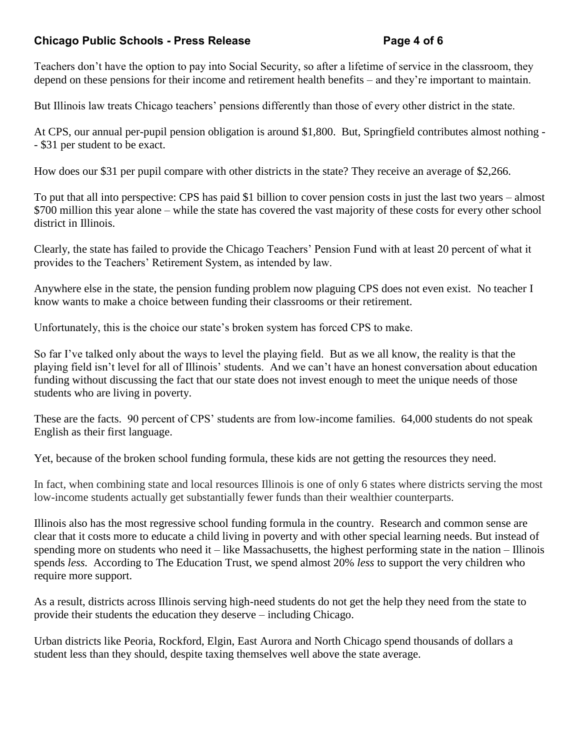### **Chicago Public Schools - Press Release Page 4 of 6**

Teachers don't have the option to pay into Social Security, so after a lifetime of service in the classroom, they depend on these pensions for their income and retirement health benefits – and they're important to maintain.

But Illinois law treats Chicago teachers' pensions differently than those of every other district in the state.

At CPS, our annual per-pupil pension obligation is around \$1,800. But, Springfield contributes almost nothing - - \$31 per student to be exact.

How does our \$31 per pupil compare with other districts in the state? They receive an average of \$2,266.

To put that all into perspective: CPS has paid \$1 billion to cover pension costs in just the last two years – almost \$700 million this year alone – while the state has covered the vast majority of these costs for every other school district in Illinois.

Clearly, the state has failed to provide the Chicago Teachers' Pension Fund with at least 20 percent of what it provides to the Teachers' Retirement System, as intended by law.

Anywhere else in the state, the pension funding problem now plaguing CPS does not even exist. No teacher I know wants to make a choice between funding their classrooms or their retirement.

Unfortunately, this is the choice our state's broken system has forced CPS to make.

So far I've talked only about the ways to level the playing field. But as we all know, the reality is that the playing field isn't level for all of Illinois' students. And we can't have an honest conversation about education funding without discussing the fact that our state does not invest enough to meet the unique needs of those students who are living in poverty.

These are the facts. 90 percent of CPS' students are from low-income families. 64,000 students do not speak English as their first language.

Yet, because of the broken school funding formula, these kids are not getting the resources they need.

In fact, when combining state and local resources Illinois is one of only 6 states where districts serving the most low-income students actually get substantially fewer funds than their wealthier counterparts.

Illinois also has the most regressive school funding formula in the country. Research and common sense are clear that it costs more to educate a child living in poverty and with other special learning needs. But instead of spending more on students who need it – like Massachusetts, the highest performing state in the nation – Illinois spends *less.* According to The Education Trust, we spend almost 20% *less* to support the very children who require more support.

As a result, districts across Illinois serving high-need students do not get the help they need from the state to provide their students the education they deserve – including Chicago.

Urban districts like Peoria, Rockford, Elgin, East Aurora and North Chicago spend thousands of dollars a student less than they should, despite taxing themselves well above the state average.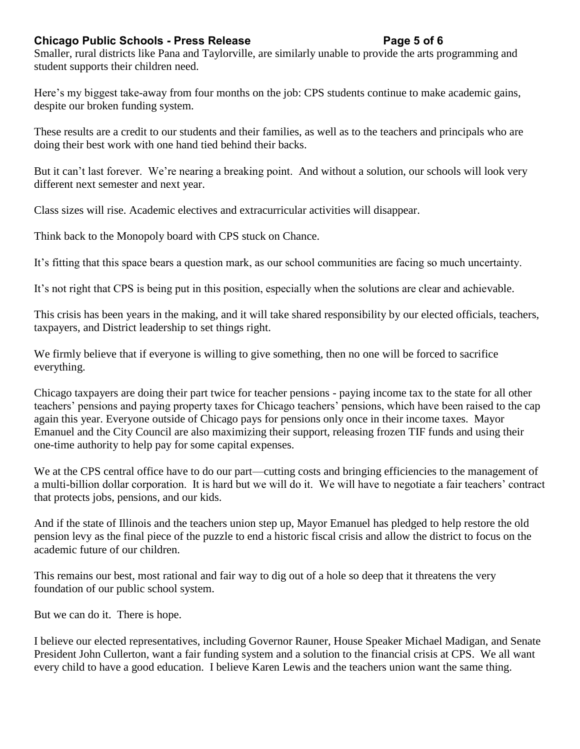### **Chicago Public Schools - Press Release Page 5 of 6**

Smaller, rural districts like Pana and Taylorville, are similarly unable to provide the arts programming and student supports their children need.

Here's my biggest take-away from four months on the job: CPS students continue to make academic gains, despite our broken funding system.

These results are a credit to our students and their families, as well as to the teachers and principals who are doing their best work with one hand tied behind their backs.

But it can't last forever. We're nearing a breaking point. And without a solution, our schools will look very different next semester and next year.

Class sizes will rise. Academic electives and extracurricular activities will disappear.

Think back to the Monopoly board with CPS stuck on Chance.

It's fitting that this space bears a question mark, as our school communities are facing so much uncertainty.

It's not right that CPS is being put in this position, especially when the solutions are clear and achievable.

This crisis has been years in the making, and it will take shared responsibility by our elected officials, teachers, taxpayers, and District leadership to set things right.

We firmly believe that if everyone is willing to give something, then no one will be forced to sacrifice everything.

Chicago taxpayers are doing their part twice for teacher pensions - paying income tax to the state for all other teachers' pensions and paying property taxes for Chicago teachers' pensions, which have been raised to the cap again this year. Everyone outside of Chicago pays for pensions only once in their income taxes. Mayor Emanuel and the City Council are also maximizing their support, releasing frozen TIF funds and using their one-time authority to help pay for some capital expenses.

We at the CPS central office have to do our part—cutting costs and bringing efficiencies to the management of a multi-billion dollar corporation. It is hard but we will do it. We will have to negotiate a fair teachers' contract that protects jobs, pensions, and our kids.

And if the state of Illinois and the teachers union step up, Mayor Emanuel has pledged to help restore the old pension levy as the final piece of the puzzle to end a historic fiscal crisis and allow the district to focus on the academic future of our children.

This remains our best, most rational and fair way to dig out of a hole so deep that it threatens the very foundation of our public school system.

But we can do it. There is hope.

I believe our elected representatives, including Governor Rauner, House Speaker Michael Madigan, and Senate President John Cullerton, want a fair funding system and a solution to the financial crisis at CPS. We all want every child to have a good education. I believe Karen Lewis and the teachers union want the same thing.